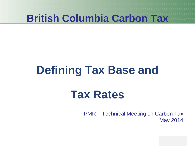# **Defining Tax Base and**

## **Tax Rates**

PMR – Technical Meeting on Carbon Tax May 2014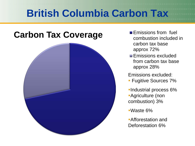## **Carbon Tax Coverage Emissions from fuel**



- combustion included in carbon tax base approx 72%
- **Emissions excluded** from carbon tax base approx 28%

Emissions excluded:

- **Fugitive Sources 7%**
- **Industrial process 6%** Agriculture (non combustion) 3%
- Waste 6%
- Afforestation and Deforestation 6%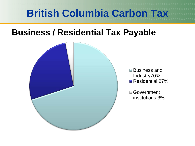## **Business / Residential Tax Payable**

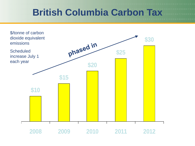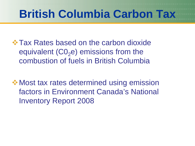**☆ Tax Rates based on the carbon dioxide** equivalent  $(C_0e)$  emissions from the combustion of fuels in British Columbia

**❖ Most tax rates determined using emission** factors in Environment Canada's National Inventory Report 2008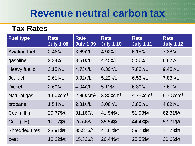## **Revenue neutral carbon tax**

### **Tax Rates**

| <b>Fuel type</b>      | <b>Rate</b><br><b>July 1 08</b> | <b>Rate</b><br><b>July 1 09</b> | <b>Rate</b><br><b>July 1 10</b> | <b>Rate</b><br><b>July 1 11</b> | <b>Rate</b><br><b>July 1 12</b> |
|-----------------------|---------------------------------|---------------------------------|---------------------------------|---------------------------------|---------------------------------|
| <b>Aviation fuel</b>  | $2.46$ ¢/L                      | $3.69$ ¢/L                      | $4.92 \phi/L$                   | $6.15 \ell/L$                   | 7.38¢/L                         |
| gasoline              | $2.34 \phi/L$                   | $3.51 \ell/L$                   | $4.45 \phi/L$                   | $5.56$ ¢/L                      | 6.67 $\mathcal{C}/L$            |
| Heavy fuel oil        | $3.15 \text{c/L}$               | $4.73 \text{c/L}$               | $6.30 \ell/L$                   | $7.88$ ¢/L                      | $9.45$ ¢/L                      |
| Jet fuel              | $2.61 \text{C/L}$               | $3.92 \ell/L$                   | $5.22 \ell/L$                   | 6.53¢/L                         | 7.83¢/L                         |
| <b>Diesel</b>         | $2.69$ ¢/L                      | $4.04 \text{c/L}$               | $5.11 \frac{\mu}{L}$            | $6.39$ ¢/L                      | $7.67 \phi/L$                   |
| Natural gas           | $1.90 \text{\textdegree}$       | $2.85$ ¢cm <sup>3</sup>         | $3.80$ ¢cm <sup>3</sup>         | $4.75$ ¢cm <sup>3</sup>         | 5.70 $¢$ cm <sup>3</sup>        |
| propane               | $1.54 \mathcal{\emptyset}/L$    | $2.31 \ell/L$                   | $3.08$ ¢/L                      | $3.85$ ¢/L                      | $4.62 \ell/L$                   |
| Coal (HH)             | 20.77\$/t                       | 31.16\$/t                       | 41.54\$/t                       | 51.93\$/t                       | 62.31\$/t                       |
| Coal (LH)             | 17.77\$/t                       | 26.66\$/t                       | 35.54\$/t                       | 44.43\$/t                       | 53.31\$/t                       |
| <b>Shredded tires</b> | 23.91\$/t                       | 35.87\$/t                       | 47.82\$/t                       | 59.78\$/t                       | 71.73\$/t                       |
| peat                  | 10.22\$/t                       | 15.33\$/t                       | 20.44\$/t                       | 25.55\$/t                       | 30.66\$/t                       |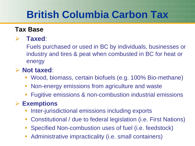### **Tax Base**

### **Taxed**:

Fuels purchased or used in BC by individuals, businesses or industry and tires & peat when combusted in BC for heat or energy

### **Not taxed**:

- Wood, biomass, certain biofuels (e.g. 100% Bio-methane)
- Non-energy emissions from agriculture and waste
- Fugitive emissions & non-combustion industrial emissions

### **Exemptions**

- Inter-jurisdictional emissions including exports
- Constitutional / due to federal legislation (i.e. First Nations)
- Specified Non-combustion uses of fuel (i.e. feedstock)
- Administrative impracticality (i.e. small containers)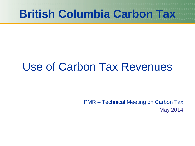## Use of Carbon Tax Revenues

PMR – Technical Meeting on Carbon Tax May 2014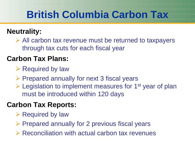## **Neutrality:**

 $\triangleright$  All carbon tax revenue must be returned to taxpayers through tax cuts for each fiscal year

## **Carbon Tax Plans:**

 $\triangleright$  Required by law

 $\triangleright$  Prepared annually for next 3 fiscal years

 $\triangleright$  Legislation to implement measures for 1<sup>st</sup> year of plan must be introduced within 120 days

## **Carbon Tax Reports:**

- $\triangleright$  Required by law
- $\triangleright$  Prepared annually for 2 previous fiscal years
- $\triangleright$  Reconciliation with actual carbon tax revenues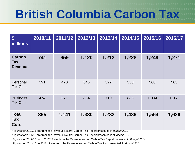| $\boldsymbol{\mathsf{S}}$<br>millions         | 2010/11 | 2011/12 | 2012/13 | 2013/14 | 2014/15 | 2015/16 | 2016/17 |
|-----------------------------------------------|---------|---------|---------|---------|---------|---------|---------|
| <b>Carbon</b><br><b>Tax</b><br><b>Revenue</b> | 741     | 959     | 1,120   | 1,212   | 1,228   | 1,248   | 1,271   |
| Personal<br><b>Tax Cuts</b>                   | 391     | 470     | 546     | 522     | 550     | 560     | 565     |
| <b>Business</b><br><b>Tax Cuts</b>            | 474     | 671     | 834     | 710     | 886     | 1,004   | 1,061   |
| <b>Total</b><br><b>Tax</b><br><b>Cuts</b>     | 865     | 1,141   | 1,380   | 1,232   | 1,436   | 1,564   | 1,626   |

\*Figures for 2010/11 are from the Revenue Neutral Carbon Tax Report presented in *Budget 2012*

\*Figures for 2011/12 are from the Revenue Neutral Carbon Tax Report presented in *Budget 2013*.

\*Figures for 2012/13 and 201/314 are from the Revenue Neutral Carbon Tax Report presented in *Budget 2014*

\*Figures for 2014/15 to 2016/17 are from the Revenue Neutral Carbon Tax Plan presented in *Budget 2014*.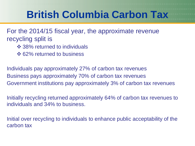For the 2014/15 fiscal year, the approximate revenue recycling split is

- **❖ 38% returned to individuals**
- **❖ 62% returned to business**

Individuals pay approximately 27% of carbon tax revenues Business pays approximately 70% of carbon tax revenues Government institutions pay approximately 3% of carbon tax revenues

Initially recycling returned approximately 64% of carbon tax revenues to individuals and 34% to business.

Initial over recycling to individuals to enhance public acceptability of the carbon tax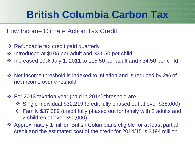### Low Income Climate Action Tax Credit

- **❖ Refundable tax credit paid quarterly**
- Introduced at \$105 per adult and \$31.50 per child
- $\cdot$  Increased 10% July 1, 2011 to 115.50 per adult and \$34.50 per child
- $\triangle$  Net income threshold is indexed to inflation and is reduced by 2% of net income over threshold
- For 2013 taxation year (paid in 2014) threshold are
	- Single Individual \$32,219 (credit fully phased out at over \$35,000)
	- Family \$37,589 (credit fully phased out for family with 2 adults and 2 children at over \$50,000)
- Approximately 1 million British Columbians eligible for at least partial credit and the estimated cost of the credit for 2014/15 is \$194 million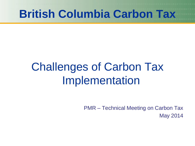## Challenges of Carbon Tax Implementation

PMR – Technical Meeting on Carbon Tax May 2014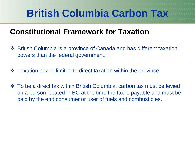## **Constitutional Framework for Taxation**

- British Columbia is a province of Canada and has different taxation powers than the federal government.
- $\triangle$  **Taxation power limited to direct taxation within the province.**
- $\triangle$  To be a direct tax within British Columbia, carbon tax must be levied on a person located in BC at the time the tax is payable and must be paid by the end consumer or user of fuels and combustibles.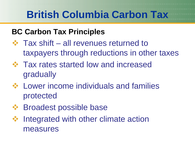## **BC Carbon Tax Principles**

- $\div$  Tax shift all revenues returned to taxpayers through reductions in other taxes
- **☆ Tax rates started low and increased** gradually
- Lower income individuals and families protected
- $\div$  **Broadest possible base**
- ❖ Integrated with other climate action measures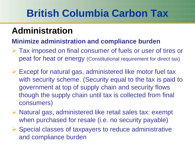## **Administration**

### **Minimize administration and compliance burden**

- Tax imposed on final consumer of fuels or user of tires or peat for heat or energy (Constitutional requirement for direct tax)
- $\triangleright$  Except for natural gas, administered like motor fuel tax with security scheme. (Security equal to the tax is paid to government at top of supply chain and security flows though the supply chain until tax is collected from final consumers)
- $\triangleright$  Natural gas, administered like retail sales tax: exempt when purchased for resale (i.e. no security payable)
- $\triangleright$  Special classes of taxpayers to reduce administrative and compliance burden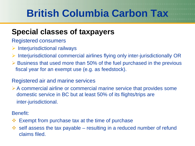## **Special classes of taxpayers**

- Registered consumers
- $\triangleright$  Interjurisdictional railways
- $\triangleright$  Interjurisdictional commercial airlines flying only inter-jurisdictionally OR
- $\triangleright$  Business that used more than 50% of the fuel purchased in the previous fiscal year for an exempt use (e.g. as feedstock).

#### Registered air and marine services

 $\triangleright$  A commercial airline or commercial marine service that provides some domestic service in BC but at least 50% of its flights/trips are inter-jurisdictional.

Benefit:

- Exempt from purchase tax at the time of purchase
- $\cdot$  self assess the tax payable resulting in a reduced number of refund claims filed.